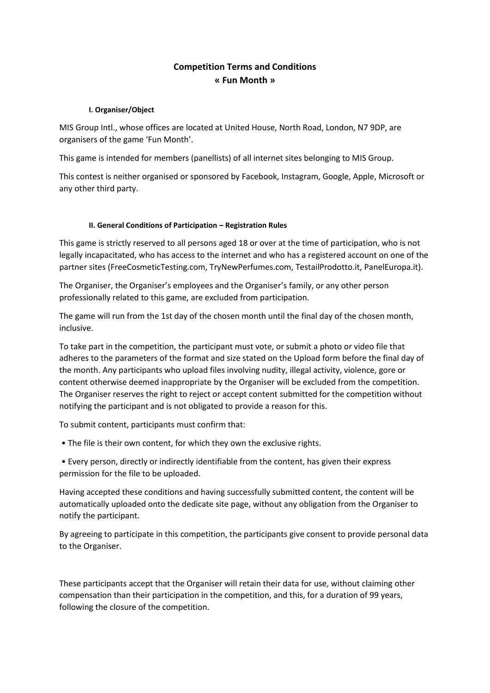# **Competition Terms and Conditions « Fun Month »**

# **I. Organiser/Object**

MIS Group Intl., whose offices are located at United House, North Road, London, N7 9DP, are organisers of the game 'Fun Month'.

This game is intended for members (panellists) of all internet sites belonging to MIS Group.

This contest is neither organised or sponsored by Facebook, Instagram, Google, Apple, Microsoft or any other third party.

### **II. General Conditions of Participation – Registration Rules**

This game is strictly reserved to all persons aged 18 or over at the time of participation, who is not legally incapacitated, who has access to the internet and who has a registered account on one of the partner sites (FreeCosmeticTesting.com, TryNewPerfumes.com, TestailProdotto.it, PanelEuropa.it).

The Organiser, the Organiser's employees and the Organiser's family, or any other person professionally related to this game, are excluded from participation.

The game will run from the 1st day of the chosen month until the final day of the chosen month, inclusive.

To take part in the competition, the participant must vote, or submit a photo or video file that adheres to the parameters of the format and size stated on the Upload form before the final day of the month. Any participants who upload files involving nudity, illegal activity, violence, gore or content otherwise deemed inappropriate by the Organiser will be excluded from the competition. The Organiser reserves the right to reject or accept content submitted for the competition without notifying the participant and is not obligated to provide a reason for this.

To submit content, participants must confirm that:

- The file is their own content, for which they own the exclusive rights.
- Every person, directly or indirectly identifiable from the content, has given their express permission for the file to be uploaded.

Having accepted these conditions and having successfully submitted content, the content will be automatically uploaded onto the dedicate site page, without any obligation from the Organiser to notify the participant.

By agreeing to participate in this competition, the participants give consent to provide personal data to the Organiser.

These participants accept that the Organiser will retain their data for use, without claiming other compensation than their participation in the competition, and this, for a duration of 99 years, following the closure of the competition.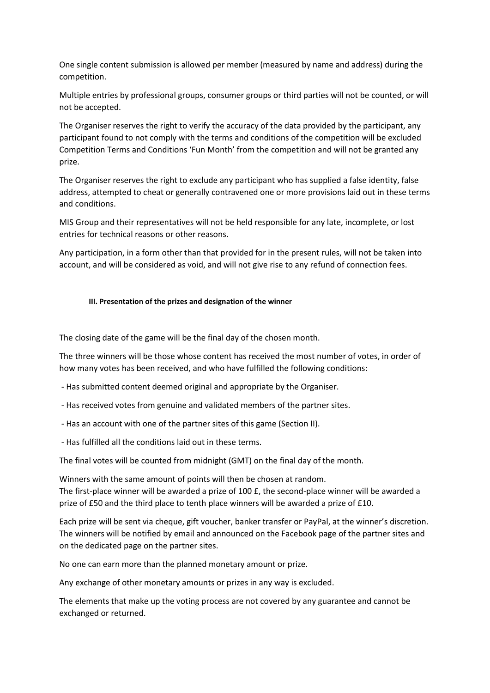One single content submission is allowed per member (measured by name and address) during the competition.

Multiple entries by professional groups, consumer groups or third parties will not be counted, or will not be accepted.

The Organiser reserves the right to verify the accuracy of the data provided by the participant, any participant found to not comply with the terms and conditions of the competition will be excluded Competition Terms and Conditions 'Fun Month' from the competition and will not be granted any prize.

The Organiser reserves the right to exclude any participant who has supplied a false identity, false address, attempted to cheat or generally contravened one or more provisions laid out in these terms and conditions.

MIS Group and their representatives will not be held responsible for any late, incomplete, or lost entries for technical reasons or other reasons.

Any participation, in a form other than that provided for in the present rules, will not be taken into account, and will be considered as void, and will not give rise to any refund of connection fees.

#### **III. Presentation of the prizes and designation of the winner**

The closing date of the game will be the final day of the chosen month.

The three winners will be those whose content has received the most number of votes, in order of how many votes has been received, and who have fulfilled the following conditions:

- Has submitted content deemed original and appropriate by the Organiser.
- Has received votes from genuine and validated members of the partner sites.
- Has an account with one of the partner sites of this game (Section II).
- Has fulfilled all the conditions laid out in these terms.

The final votes will be counted from midnight (GMT) on the final day of the month.

Winners with the same amount of points will then be chosen at random. The first-place winner will be awarded a prize of 100 £, the second-place winner will be awarded a prize of £50 and the third place to tenth place winners will be awarded a prize of £10.

Each prize will be sent via cheque, gift voucher, banker transfer or PayPal, at the winner's discretion. The winners will be notified by email and announced on the Facebook page of the partner sites and on the dedicated page on the partner sites.

No one can earn more than the planned monetary amount or prize.

Any exchange of other monetary amounts or prizes in any way is excluded.

The elements that make up the voting process are not covered by any guarantee and cannot be exchanged or returned.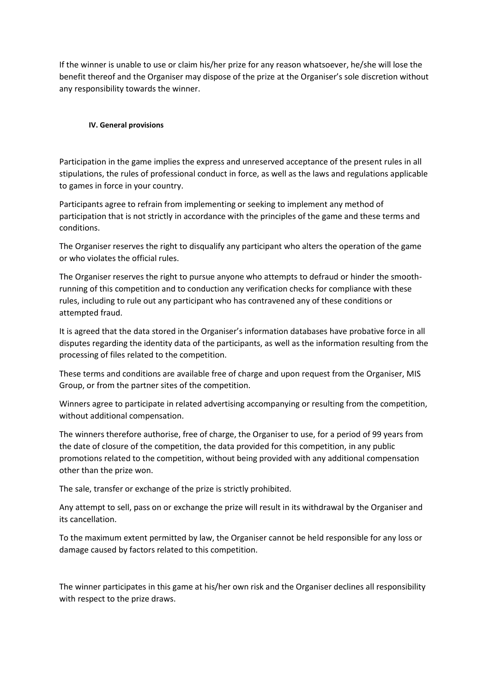If the winner is unable to use or claim his/her prize for any reason whatsoever, he/she will lose the benefit thereof and the Organiser may dispose of the prize at the Organiser's sole discretion without any responsibility towards the winner.

# **IV. General provisions**

Participation in the game implies the express and unreserved acceptance of the present rules in all stipulations, the rules of professional conduct in force, as well as the laws and regulations applicable to games in force in your country.

Participants agree to refrain from implementing or seeking to implement any method of participation that is not strictly in accordance with the principles of the game and these terms and conditions.

The Organiser reserves the right to disqualify any participant who alters the operation of the game or who violates the official rules.

The Organiser reserves the right to pursue anyone who attempts to defraud or hinder the smoothrunning of this competition and to conduction any verification checks for compliance with these rules, including to rule out any participant who has contravened any of these conditions or attempted fraud.

It is agreed that the data stored in the Organiser's information databases have probative force in all disputes regarding the identity data of the participants, as well as the information resulting from the processing of files related to the competition.

These terms and conditions are available free of charge and upon request from the Organiser, MIS Group, or from the partner sites of the competition.

Winners agree to participate in related advertising accompanying or resulting from the competition, without additional compensation.

The winners therefore authorise, free of charge, the Organiser to use, for a period of 99 years from the date of closure of the competition, the data provided for this competition, in any public promotions related to the competition, without being provided with any additional compensation other than the prize won.

The sale, transfer or exchange of the prize is strictly prohibited.

Any attempt to sell, pass on or exchange the prize will result in its withdrawal by the Organiser and its cancellation.

To the maximum extent permitted by law, the Organiser cannot be held responsible for any loss or damage caused by factors related to this competition.

The winner participates in this game at his/her own risk and the Organiser declines all responsibility with respect to the prize draws.